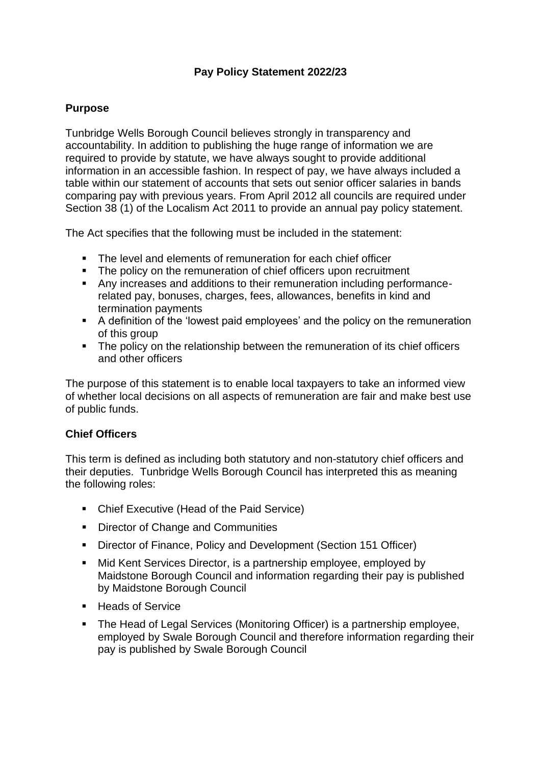## **Pay Policy Statement 2022/23**

#### **Purpose**

Tunbridge Wells Borough Council believes strongly in transparency and accountability. In addition to publishing the huge range of information we are required to provide by statute, we have always sought to provide additional information in an accessible fashion. In respect of pay, we have always included a table within our statement of accounts that sets out senior officer salaries in bands comparing pay with previous years. From April 2012 all councils are required under Section 38 (1) of the Localism Act 2011 to provide an annual pay policy statement.

The Act specifies that the following must be included in the statement:

- The level and elements of remuneration for each chief officer
- **•** The policy on the remuneration of chief officers upon recruitment
- Any increases and additions to their remuneration including performancerelated pay, bonuses, charges, fees, allowances, benefits in kind and termination payments
- A definition of the 'lowest paid employees' and the policy on the remuneration of this group
- **•** The policy on the relationship between the remuneration of its chief officers and other officers

The purpose of this statement is to enable local taxpayers to take an informed view of whether local decisions on all aspects of remuneration are fair and make best use of public funds.

#### **Chief Officers**

This term is defined as including both statutory and non-statutory chief officers and their deputies. Tunbridge Wells Borough Council has interpreted this as meaning the following roles:

- Chief Executive (Head of the Paid Service)
- Director of Change and Communities
- Director of Finance, Policy and Development (Section 151 Officer)
- Mid Kent Services Director, is a partnership employee, employed by Maidstone Borough Council and information regarding their pay is published by Maidstone Borough Council
- Heads of Service
- The Head of Legal Services (Monitoring Officer) is a partnership employee, employed by Swale Borough Council and therefore information regarding their pay is published by Swale Borough Council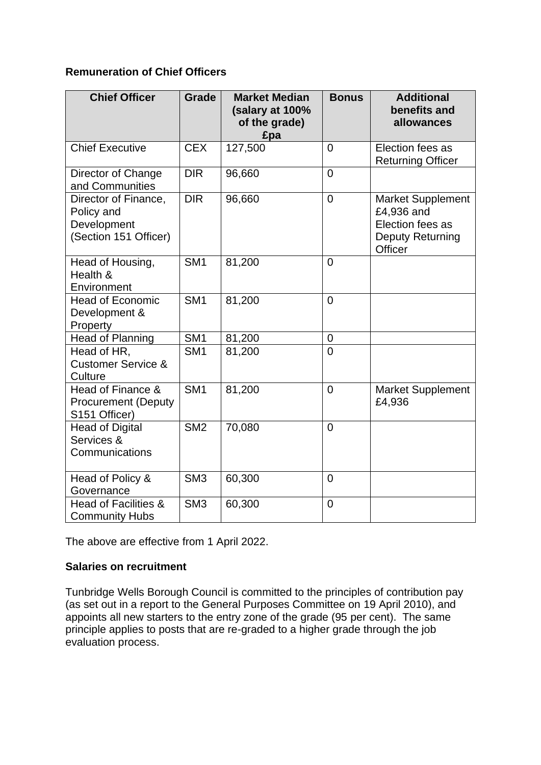# **Remuneration of Chief Officers**

| <b>Chief Officer</b>                                                       | <b>Grade</b>    | <b>Market Median</b><br>(salary at 100%<br>of the grade)<br>£pa | <b>Bonus</b>   | <b>Additional</b><br>benefits and<br>allowances                                                  |
|----------------------------------------------------------------------------|-----------------|-----------------------------------------------------------------|----------------|--------------------------------------------------------------------------------------------------|
| <b>Chief Executive</b>                                                     | <b>CEX</b>      | 127,500                                                         | $\overline{0}$ | Election fees as<br><b>Returning Officer</b>                                                     |
| Director of Change<br>and Communities                                      | <b>DIR</b>      | 96,660                                                          | $\overline{0}$ |                                                                                                  |
| Director of Finance,<br>Policy and<br>Development<br>(Section 151 Officer) | <b>DIR</b>      | 96,660                                                          | $\mathbf 0$    | <b>Market Supplement</b><br>£4,936 and<br>Election fees as<br>Deputy Returning<br><b>Officer</b> |
| Head of Housing,<br>Health &<br>Environment                                | SM <sub>1</sub> | 81,200                                                          | $\overline{0}$ |                                                                                                  |
| <b>Head of Economic</b><br>Development &<br>Property                       | SM <sub>1</sub> | 81,200                                                          | $\overline{0}$ |                                                                                                  |
| <b>Head of Planning</b>                                                    | SM <sub>1</sub> | 81,200                                                          | $\mathbf 0$    |                                                                                                  |
| Head of HR,<br><b>Customer Service &amp;</b><br>Culture                    | SM <sub>1</sub> | 81,200                                                          | $\overline{0}$ |                                                                                                  |
| Head of Finance &<br><b>Procurement (Deputy</b><br>S151 Officer)           | SM <sub>1</sub> | 81,200                                                          | $\mathbf 0$    | <b>Market Supplement</b><br>£4,936                                                               |
| <b>Head of Digital</b><br>Services &<br>Communications                     | SM <sub>2</sub> | 70,080                                                          | $\mathbf 0$    |                                                                                                  |
| Head of Policy &<br>Governance                                             | SM <sub>3</sub> | 60,300                                                          | $\overline{0}$ |                                                                                                  |
| <b>Head of Facilities &amp;</b><br><b>Community Hubs</b>                   | SM <sub>3</sub> | 60,300                                                          | $\mathbf 0$    |                                                                                                  |

The above are effective from 1 April 2022.

#### **Salaries on recruitment**

Tunbridge Wells Borough Council is committed to the principles of contribution pay (as set out in a report to the General Purposes Committee on 19 April 2010), and appoints all new starters to the entry zone of the grade (95 per cent). The same principle applies to posts that are re-graded to a higher grade through the job evaluation process.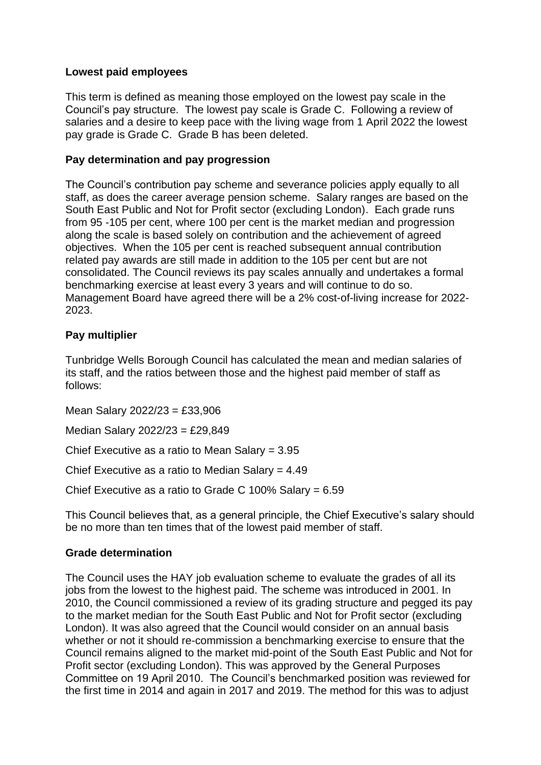## **Lowest paid employees**

This term is defined as meaning those employed on the lowest pay scale in the Council's pay structure. The lowest pay scale is Grade C. Following a review of salaries and a desire to keep pace with the living wage from 1 April 2022 the lowest pay grade is Grade C. Grade B has been deleted.

#### **Pay determination and pay progression**

The Council's contribution pay scheme and severance policies apply equally to all staff, as does the career average pension scheme. Salary ranges are based on the South East Public and Not for Profit sector (excluding London). Each grade runs from 95 -105 per cent, where 100 per cent is the market median and progression along the scale is based solely on contribution and the achievement of agreed objectives. When the 105 per cent is reached subsequent annual contribution related pay awards are still made in addition to the 105 per cent but are not consolidated. The Council reviews its pay scales annually and undertakes a formal benchmarking exercise at least every 3 years and will continue to do so. Management Board have agreed there will be a 2% cost-of-living increase for 2022- 2023.

## **Pay multiplier**

Tunbridge Wells Borough Council has calculated the mean and median salaries of its staff, and the ratios between those and the highest paid member of staff as follows:

Mean Salary 2022/23 = £33,906

Median Salary 2022/23 = £29,849

Chief Executive as a ratio to Mean Salary = 3.95

Chief Executive as a ratio to Median Salary = 4.49

Chief Executive as a ratio to Grade C 100% Salary = 6.59

This Council believes that, as a general principle, the Chief Executive's salary should be no more than ten times that of the lowest paid member of staff.

# **Grade determination**

The Council uses the HAY job evaluation scheme to evaluate the grades of all its jobs from the lowest to the highest paid. The scheme was introduced in 2001. In 2010, the Council commissioned a review of its grading structure and pegged its pay to the market median for the South East Public and Not for Profit sector (excluding London). It was also agreed that the Council would consider on an annual basis whether or not it should re-commission a benchmarking exercise to ensure that the Council remains aligned to the market mid-point of the South East Public and Not for Profit sector (excluding London). This was approved by the General Purposes Committee on 19 April 2010. The Council's benchmarked position was reviewed for the first time in 2014 and again in 2017 and 2019. The method for this was to adjust